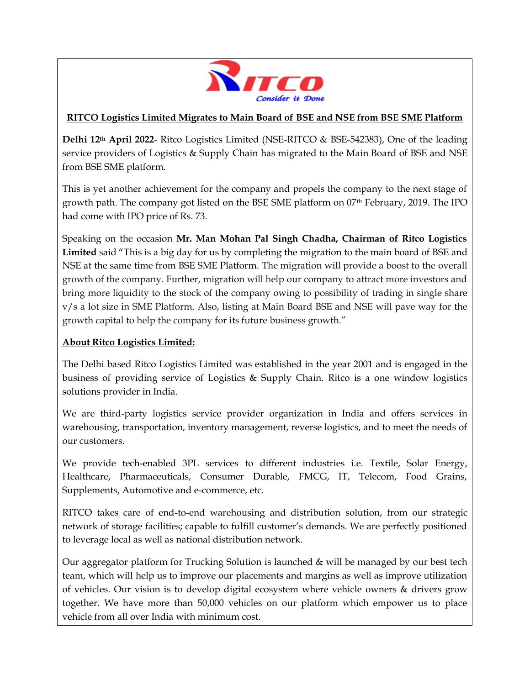

## **RITCO Logistics Limited Migrates to Main Board of BSE and NSE from BSE SME Platform**

**Delhi 12th April 2022**- Ritco Logistics Limited (NSE-RITCO & BSE-542383), One of the leading service providers of Logistics & Supply Chain has migrated to the Main Board of BSE and NSE from BSE SME platform.

This is yet another achievement for the company and propels the company to the next stage of growth path. The company got listed on the BSE SME platform on 07th February, 2019. The IPO had come with IPO price of Rs. 73.

Speaking on the occasion **Mr. Man Mohan Pal Singh Chadha, Chairman of Ritco Logistics Limited** said "This is a big day for us by completing the migration to the main board of BSE and NSE at the same time from BSE SME Platform. The migration will provide a boost to the overall growth of the company. Further, migration will help our company to attract more investors and bring more liquidity to the stock of the company owing to possibility of trading in single share v/s a lot size in SME Platform. Also, listing at Main Board BSE and NSE will pave way for the growth capital to help the company for its future business growth."

## **About Ritco Logistics Limited:**

The Delhi based Ritco Logistics Limited was established in the year 2001 and is engaged in the business of providing service of Logistics & Supply Chain. Ritco is a one window logistics solutions provider in India.

We are third-party logistics service provider organization in India and offers services in warehousing, transportation, inventory management, reverse logistics, and to meet the needs of our customers.

We provide tech-enabled 3PL services to different industries i.e. Textile, Solar Energy, Healthcare, Pharmaceuticals, Consumer Durable, FMCG, IT, Telecom, Food Grains, Supplements, Automotive and e-commerce, etc.

RITCO takes care of end-to-end warehousing and distribution solution, from our strategic network of storage facilities; capable to fulfill customer's demands. We are perfectly positioned to leverage local as well as national distribution network.

Our aggregator platform for Trucking Solution is launched & will be managed by our best tech team, which will help us to improve our placements and margins as well as improve utilization of vehicles. Our vision is to develop digital ecosystem where vehicle owners & drivers grow together. We have more than 50,000 vehicles on our platform which empower us to place vehicle from all over India with minimum cost.